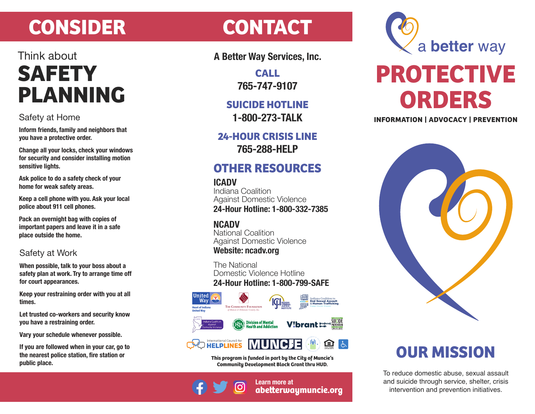# **CONSIDER CONTACT**

## Think about **SAFETY PLANNING**

### Safety at Home

**Inform friends, family and neighbors that you have a protective order.**

**Change all your locks, check your windows for security and consider installing motion sensitive lights.**

**Ask police to do a safety check of your home for weak safety areas.**

**Keep a cell phone with you. Ask your local police about 911 cell phones.**

**Pack an overnight bag with copies of important papers and leave it in a safe place outside the home.** 

### Safety at Work

**When possible, talk to your boss about a safety plan at work. Try to arrange time off for court appearances.**

**Keep your restraining order with you at all times.**

**Let trusted co-workers and security know you have a restraining order.**

**Vary your schedule whenever possible.**

**If you are followed when in your car, go to the nearest police station, fire station or public place.**

**A Better Way Services, Inc.**

**CALL 765-747-9107**

**SUICIDE HOTLINE 1-800-273-TALK**

**24-HOUR CRISIS LINE 765-288-HELP**

### **OTHER RESOURCES**

### **ICADV**

Indiana Coalition Against Domestic Violence **24-Hour Hotline: 1-800-332-7385**

### **NCADV**

National Coalition Against Domestic Violence **Website: ncadv.org**

The National Domestic Violence Hotline **24-Hour Hotline: 1-800-799-SAFE**



**This program is funded in part by the City of Muncie's Community Development Block Grant thru HUD.**



**Learn more at abeerwaymuncie.org**



# **PROTECTIVE ORDERS**

**INFORMATION | ADVOCACY | PREVENTION**



## **OUR MISSION**

To reduce domestic abuse, sexual assault and suicide through service, shelter, crisis intervention and prevention initiatives.